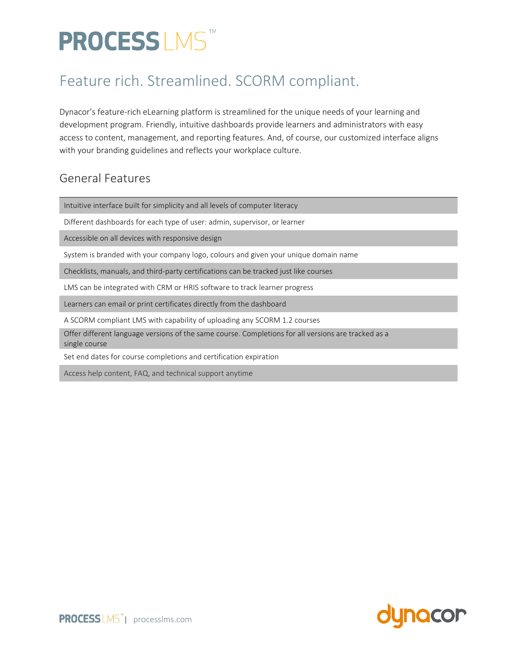# PROCESS LMS

### Feature rich. Streamlined. SCORM compliant.

Dynacor's feature-rich eLearning platform is streamlined for the unique needs of your learning and development program. Friendly, intuitive dashboards provide learners and administrators with easy access to content, management, and reporting features. And, of course, our customized interface aligns with your branding guidelines and reflects your workplace culture.

#### General Features

Intuitive interface built for simplicity and all levels of computer literacy

Different dashboards for each type of user: admin, supervisor, or learner

Accessible on all devices with responsive design

System is branded with your company logo, colours and given your unique domain name

Checklists, manuals, and third-party certifications can be tracked just like courses

LMS can be integrated with CRM or HRIS software to track learner progress

Learners can email or print certificates directly from the dashboard

A SCORM compliant LMS with capability of uploading any SCORM 1.2 courses

Offer different language versions of the same course. Completions for all versions are tracked as a single course

Set end dates for course completions and certification expiration

Access help content, FAQ, and technical support anytime

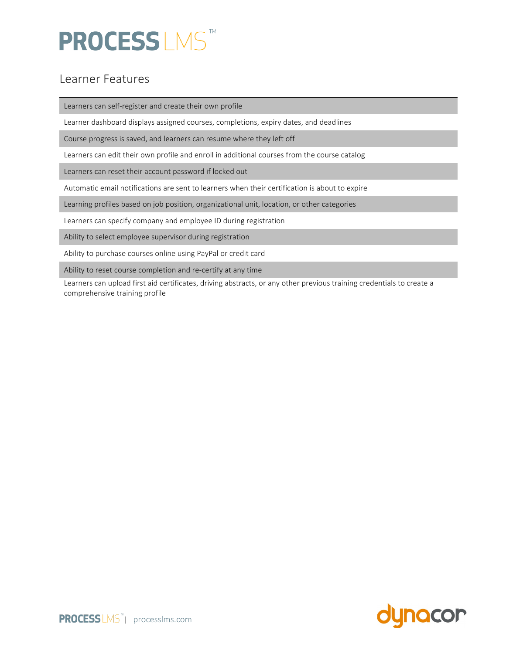# **PROCESSLMS**

#### Learner Features

Learners can self-register and create their own profile

Learner dashboard displays assigned courses, completions, expiry dates, and deadlines

Course progress is saved, and learners can resume where they left off

Learners can edit their own profile and enroll in additional courses from the course catalog

Learners can reset their account password if locked out

Automatic email notifications are sent to learners when their certification is about to expire

Learning profiles based on job position, organizational unit, location, or other categories

Learners can specify company and employee ID during registration

Ability to select employee supervisor during registration

Ability to purchase courses online using PayPal or credit card

Ability to reset course completion and re-certify at any time

Learners can upload first aid certificates, driving abstracts, or any other previous training credentials to create a comprehensive training profile